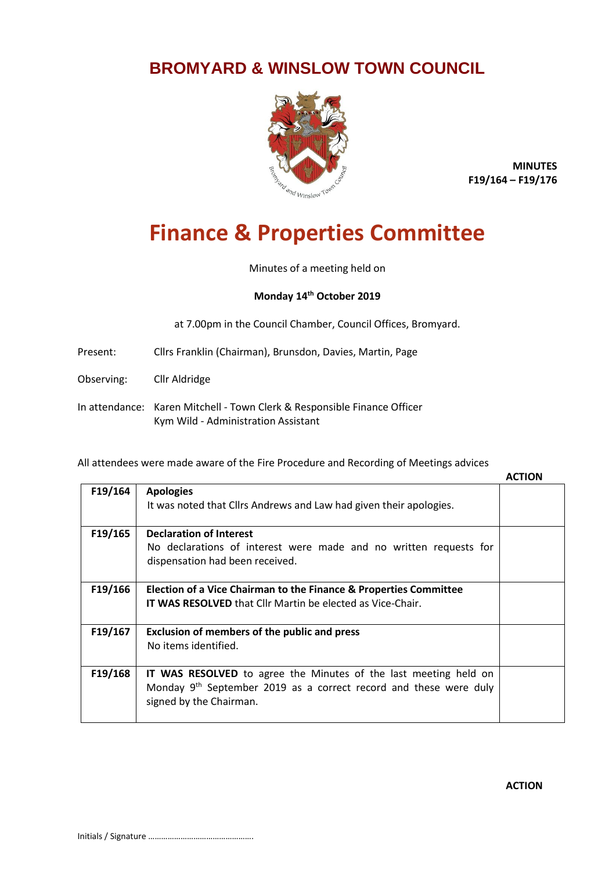## **BROMYARD & WINSLOW TOWN COUNCIL**



**MINUTES F19/164 – F19/176**

## **Finance & Properties Committee**

Minutes of a meeting held on

## **Monday 14th October 2019**

at 7.00pm in the Council Chamber, Council Offices, Bromyard.

- Present: Cllrs Franklin (Chairman), Brunsdon, Davies, Martin, Page
- Observing: Cllr Aldridge
- In attendance: Karen Mitchell Town Clerk & Responsible Finance Officer Kym Wild - Administration Assistant

All attendees were made aware of the Fire Procedure and Recording of Meetings advices

|         |                                                                               | <b>ACTION</b> |
|---------|-------------------------------------------------------------------------------|---------------|
| F19/164 | <b>Apologies</b>                                                              |               |
|         | It was noted that Cllrs Andrews and Law had given their apologies.            |               |
|         |                                                                               |               |
| F19/165 | <b>Declaration of Interest</b>                                                |               |
|         | No declarations of interest were made and no written requests for             |               |
|         | dispensation had been received.                                               |               |
|         |                                                                               |               |
| F19/166 | Election of a Vice Chairman to the Finance & Properties Committee             |               |
|         | <b>IT WAS RESOLVED</b> that Cllr Martin be elected as Vice-Chair.             |               |
|         |                                                                               |               |
| F19/167 | <b>Exclusion of members of the public and press</b>                           |               |
|         | No items identified.                                                          |               |
|         |                                                                               |               |
| F19/168 | <b>IT WAS RESOLVED</b> to agree the Minutes of the last meeting held on       |               |
|         | Monday 9 <sup>th</sup> September 2019 as a correct record and these were duly |               |
|         | signed by the Chairman.                                                       |               |
|         |                                                                               |               |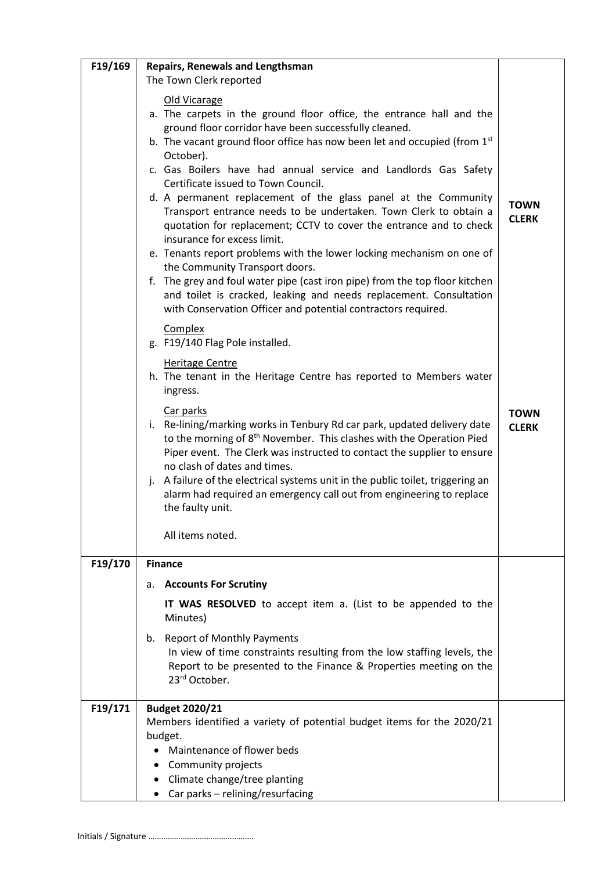| F19/169 | <b>Repairs, Renewals and Lengthsman</b>                                                                                                                                                                                                                                                                                                                                                                                                                             |                             |
|---------|---------------------------------------------------------------------------------------------------------------------------------------------------------------------------------------------------------------------------------------------------------------------------------------------------------------------------------------------------------------------------------------------------------------------------------------------------------------------|-----------------------------|
|         | The Town Clerk reported                                                                                                                                                                                                                                                                                                                                                                                                                                             |                             |
|         | Old Vicarage<br>a. The carpets in the ground floor office, the entrance hall and the<br>ground floor corridor have been successfully cleaned.<br>b. The vacant ground floor office has now been let and occupied (from 1st                                                                                                                                                                                                                                          |                             |
|         | October).<br>c. Gas Boilers have had annual service and Landlords Gas Safety<br>Certificate issued to Town Council.                                                                                                                                                                                                                                                                                                                                                 |                             |
|         | d. A permanent replacement of the glass panel at the Community<br>Transport entrance needs to be undertaken. Town Clerk to obtain a<br>quotation for replacement; CCTV to cover the entrance and to check<br>insurance for excess limit.                                                                                                                                                                                                                            | <b>TOWN</b><br><b>CLERK</b> |
|         | e. Tenants report problems with the lower locking mechanism on one of<br>the Community Transport doors.<br>f. The grey and foul water pipe (cast iron pipe) from the top floor kitchen<br>and toilet is cracked, leaking and needs replacement. Consultation                                                                                                                                                                                                        |                             |
|         | with Conservation Officer and potential contractors required.<br>Complex<br>g. F19/140 Flag Pole installed.                                                                                                                                                                                                                                                                                                                                                         |                             |
|         | <b>Heritage Centre</b><br>h. The tenant in the Heritage Centre has reported to Members water<br>ingress.                                                                                                                                                                                                                                                                                                                                                            |                             |
|         | Car parks<br>i. Re-lining/marking works in Tenbury Rd car park, updated delivery date<br>to the morning of 8 <sup>th</sup> November. This clashes with the Operation Pied<br>Piper event. The Clerk was instructed to contact the supplier to ensure<br>no clash of dates and times.<br>j. A failure of the electrical systems unit in the public toilet, triggering an<br>alarm had required an emergency call out from engineering to replace<br>the faulty unit. | <b>TOWN</b><br><b>CLERK</b> |
|         | All items noted.                                                                                                                                                                                                                                                                                                                                                                                                                                                    |                             |
| F19/170 | <b>Finance</b>                                                                                                                                                                                                                                                                                                                                                                                                                                                      |                             |
|         | <b>Accounts For Scrutiny</b><br>а.                                                                                                                                                                                                                                                                                                                                                                                                                                  |                             |
|         | <b>IT WAS RESOLVED</b> to accept item a. (List to be appended to the<br>Minutes)                                                                                                                                                                                                                                                                                                                                                                                    |                             |
|         | b. Report of Monthly Payments<br>In view of time constraints resulting from the low staffing levels, the<br>Report to be presented to the Finance & Properties meeting on the<br>23rd October.                                                                                                                                                                                                                                                                      |                             |
| F19/171 | <b>Budget 2020/21</b>                                                                                                                                                                                                                                                                                                                                                                                                                                               |                             |
|         | Members identified a variety of potential budget items for the 2020/21<br>budget.                                                                                                                                                                                                                                                                                                                                                                                   |                             |
|         | Maintenance of flower beds                                                                                                                                                                                                                                                                                                                                                                                                                                          |                             |
|         | Community projects                                                                                                                                                                                                                                                                                                                                                                                                                                                  |                             |
|         | Climate change/tree planting                                                                                                                                                                                                                                                                                                                                                                                                                                        |                             |
|         | Car parks - relining/resurfacing                                                                                                                                                                                                                                                                                                                                                                                                                                    |                             |